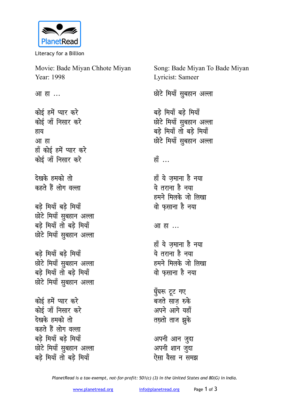

Literacy for a Billion

Movie: Bade Miyan Chhote Miyan Year: 1998

आ हा<sup>...</sup>

कोई हमें प्यार कर<del>े</del> <u>कोई जॉं निसार करे</u> हाय <u>आ ह</u>ा हाँ कोई हमें प्यार कर<del>े</del> <u>कोई जॉं निसार करे</u>

**ns[kd¢ gedks rks**  कहते हैं लोग वल्ला

बडे मियाँ बडे मियाँ <u>छोटे मियाँ सूबहान अल्ला</u> बड़े मियाँ तो बड़े मियाँ <u>छोटे मियाँ सूबहान अल्ला</u>

बडे मियाँ बडे मियाँ <u>छोटे मियाँ सूबहान अल्ला</u> बड़े मियाँ तो बड़े मियाँ <u>छोटे मियाँ सुबहान अल्ला</u>

<u>कोई हमें प्यार करे</u> <u>कोई जॉं निसार करे</u> देखके हमको तो कहते हैं लोग वल्ला बडे मियाँ बडे मियाँ <u>छोटे मियाँ सुबहान अल्ला</u> बड़े मियाँ तो बड़े मियाँ

Song: Bade Miyan To Bade Miyan Lyricist: Sameer <u>छोटे मियाँ सुबहान अल्ला</u> बडे मियाँ बडे मियाँ <u>छोटे मियाँ सुबहान अल्ला</u> बडे मियाँ तो बडे मियाँ <u>छोटे मियाँ सूबहान अल्ला</u> **हाँ** ... हाँ ये जमाना है नया ये तराना है नया हमने मिलके जो लिखा वो फसाना है नया आ ह<u>ा</u> ... हाँ ये जमाना है नया ये तराना है नया हमने मिलके जो लिखा वो फुसाना है नया धुँघरू टूट गए बजते साज रुके अपने आगे यहाँ **तख़्तो** ताज झुके अपनी आन जूदा अपनी शान जूदा

*PlanetRead is a tax-exempt, not-for-profit: 501(c) (3) in the United States and 80(G) in India.*

ऐसा वैसा न समझ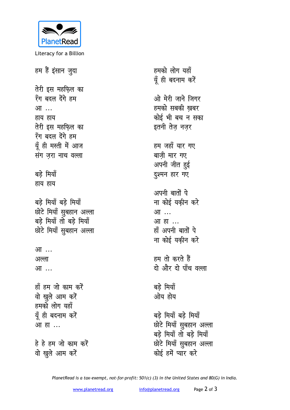

Literacy for a Billion

हम हैं इंसान जुदा तेरी इस महफिल का रँग बदल देंगे हम आ … हाय हाय तेरी इस महफिल का रँग बदल देंगे हम यूँ ही मस्ती में आज संग जरा नाच वल्ला बडे मियाँ हाय हाय बडे मियाँ बडे मियाँ छोटे मियाँ सुबहान अल्ला बड़े मियाँ तो बड़े मियाँ छोटे मियाँ सुबहान अल्ला आ ... अल्ला आ ... हाँ हम जो काम करें वो खुले आम करें हमको लोग यहाँ यूँ ही बदनाम करें आ हा ... हे हे हम जो काम करें वो खुले आम करें

हमको लोग यहाँ यूँ ही बदनाम करें ओ मेरी जाने जिगर हमको सबकी ख़बर कोई भी बच न सका इतनी तेज नजर हम जहाँ यार गए बाजी मार गए अपनी जीत हुई दुश्मन हार गए अपनी बातों पे ना कोई यकीन करे आ … आ हा ... हाँ अपनी बातों पे ना कोई यकीन करे हम तो करते हैं दो और दो पाँच वल्ला बड़े मियाँ ओय होय बडे मियाँ बडे मियाँ छोटे मियाँ सुबहान अल्ला बड़े मियाँ तो बड़े मियाँ छोटे मियाँ सुबहान अल्ला कोई हमें प्यार करे

PlanetRead is a tax-exempt, not-for-profit: 501(c) (3) in the United States and 80(G) in India.